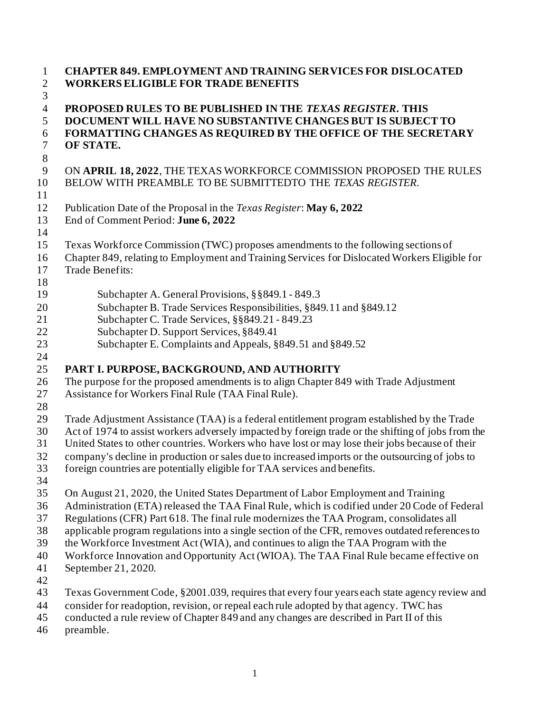| $\mathbf{1}$<br>$\overline{2}$                                          | <b>CHAPTER 849. EMPLOYMENT AND TRAINING SERVICES FOR DISLOCATED</b><br><b>WORKERS ELIGIBLE FOR TRADE BENEFITS</b>                                                                                                                                                                                                                                                                                                                                                                                                                                                                        |
|-------------------------------------------------------------------------|------------------------------------------------------------------------------------------------------------------------------------------------------------------------------------------------------------------------------------------------------------------------------------------------------------------------------------------------------------------------------------------------------------------------------------------------------------------------------------------------------------------------------------------------------------------------------------------|
| $\mathfrak{Z}$<br>$\overline{4}$<br>5<br>6<br>$\boldsymbol{7}$<br>$8\,$ | PROPOSED RULES TO BE PUBLISHED IN THE TEXAS REGISTER. THIS<br>DOCUMENT WILL HAVE NO SUBSTANTIVE CHANGES BUT IS SUBJECT TO<br>FORMATTING CHANGES AS REQUIRED BY THE OFFICE OF THE SECRETARY<br>OF STATE.                                                                                                                                                                                                                                                                                                                                                                                  |
| 9<br>10<br>11                                                           | ON APRIL 18, 2022, THE TEXAS WORKFORCE COMMISSION PROPOSED THE RULES<br>BELOW WITH PREAMBLE TO BE SUBMITTEDTO THE TEXAS REGISTER.                                                                                                                                                                                                                                                                                                                                                                                                                                                        |
| 12<br>13<br>14                                                          | Publication Date of the Proposal in the Texas Register: May 6, 2022<br>End of Comment Period: June 6, 2022                                                                                                                                                                                                                                                                                                                                                                                                                                                                               |
| 15<br>16<br>17<br>18                                                    | Texas Workforce Commission (TWC) proposes amendments to the following sections of<br>Chapter 849, relating to Employment and Training Services for Dislocated Workers Eligible for<br>Trade Benefits:                                                                                                                                                                                                                                                                                                                                                                                    |
| 19<br>20<br>21<br>22<br>23<br>24                                        | Subchapter A. General Provisions, §§849.1 - 849.3<br>Subchapter B. Trade Services Responsibilities, §849.11 and §849.12<br>Subchapter C. Trade Services, §§849.21 - 849.23<br>Subchapter D. Support Services, §849.41<br>Subchapter E. Complaints and Appeals, §849.51 and §849.52                                                                                                                                                                                                                                                                                                       |
| 25<br>26<br>27<br>28                                                    | PART I. PURPOSE, BACKGROUND, AND AUTHORITY<br>The purpose for the proposed amendments is to align Chapter 849 with Trade Adjustment<br>Assistance for Workers Final Rule (TAA Final Rule).                                                                                                                                                                                                                                                                                                                                                                                               |
| 29<br>30<br>31<br>32<br>33                                              | Trade Adjustment Assistance (TAA) is a federal entitlement program established by the Trade<br>Act of 1974 to assist workers adversely impacted by foreign trade or the shifting of jobs from the<br>United States to other countries. Workers who have lost or may lose their jobs because of their<br>company's decline in production or sales due to increased imports or the outsourcing of jobs to<br>foreign countries are potentially eligible for TAA services and benefits.                                                                                                     |
| 34<br>35<br>36<br>37<br>38<br>39<br>40<br>41                            | On August 21, 2020, the United States Department of Labor Employment and Training<br>Administration (ETA) released the TAA Final Rule, which is codified under 20 Code of Federal<br>Regulations (CFR) Part 618. The final rule modernizes the TAA Program, consolidates all<br>applicable program regulations into a single section of the CFR, removes outdated references to<br>the Workforce Investment Act (WIA), and continues to align the TAA Program with the<br>Workforce Innovation and Opportunity Act (WIOA). The TAA Final Rule became effective on<br>September 21, 2020. |
| 42<br>43<br>44<br>45<br>46                                              | Texas Government Code, §2001.039, requires that every four years each state agency review and<br>consider for readoption, revision, or repeal each rule adopted by that agency. TWC has<br>conducted a rule review of Chapter 849 and any changes are described in Part II of this<br>preamble.                                                                                                                                                                                                                                                                                          |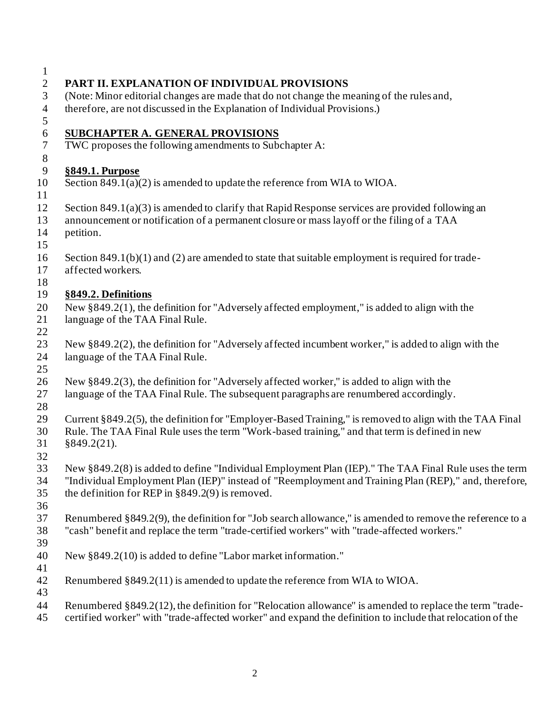| $\mathbf{1}$     |                                                                                                                                                                                                                      |
|------------------|----------------------------------------------------------------------------------------------------------------------------------------------------------------------------------------------------------------------|
| $\mathbf{2}$     | PART II. EXPLANATION OF INDIVIDUAL PROVISIONS                                                                                                                                                                        |
| 3                | (Note: Minor editorial changes are made that do not change the meaning of the rules and,                                                                                                                             |
| $\overline{4}$   | therefore, are not discussed in the Explanation of Individual Provisions.)                                                                                                                                           |
| $\sqrt{5}$       |                                                                                                                                                                                                                      |
| $\sqrt{6}$       | <b>SUBCHAPTER A. GENERAL PROVISIONS</b>                                                                                                                                                                              |
| $\boldsymbol{7}$ | TWC proposes the following amendments to Subchapter A:                                                                                                                                                               |
| $8\,$            |                                                                                                                                                                                                                      |
| 9                | §849.1. Purpose                                                                                                                                                                                                      |
| 10               | Section $849.1(a)(2)$ is amended to update the reference from WIA to WIOA.                                                                                                                                           |
| 11               |                                                                                                                                                                                                                      |
| 12               | Section $849.1(a)(3)$ is amended to clarify that Rapid Response services are provided following an                                                                                                                   |
| 13               | announcement or notification of a permanent closure or mass layoff or the filing of a TAA                                                                                                                            |
| 14               | petition.                                                                                                                                                                                                            |
| 15               |                                                                                                                                                                                                                      |
| 16               | Section $849.1(b)(1)$ and (2) are amended to state that suitable employment is required for trade-                                                                                                                   |
| 17               | affected workers.                                                                                                                                                                                                    |
| 18               |                                                                                                                                                                                                                      |
| 19               | §849.2. Definitions                                                                                                                                                                                                  |
| 20               | New $\S 849.2(1)$ , the definition for "Adversely affected employment," is added to align with the                                                                                                                   |
| 21               | language of the TAA Final Rule.                                                                                                                                                                                      |
| 22               |                                                                                                                                                                                                                      |
| 23               | New $\S 849.2(2)$ , the definition for "Adversely affected incumbent worker," is added to align with the                                                                                                             |
| 24               | language of the TAA Final Rule.                                                                                                                                                                                      |
| 25               |                                                                                                                                                                                                                      |
| 26               | New §849.2(3), the definition for "Adversely affected worker," is added to align with the                                                                                                                            |
| 27               | language of the TAA Final Rule. The subsequent paragraphs are renumbered accordingly.                                                                                                                                |
| 28               |                                                                                                                                                                                                                      |
| 29               | Current §849.2(5), the definition for "Employer-Based Training," is removed to align with the TAA Final                                                                                                              |
| 30               | Rule. The TAA Final Rule uses the term "Work-based training," and that term is defined in new                                                                                                                        |
| 31               | §849.2(21).                                                                                                                                                                                                          |
| 32               |                                                                                                                                                                                                                      |
| 33               | New §849.2(8) is added to define "Individual Employment Plan (IEP)." The TAA Final Rule uses the term                                                                                                                |
| 34               | "Individual Employment Plan (IEP)" instead of "Reemployment and Training Plan (REP)," and, therefore,                                                                                                                |
| 35               | the definition for REP in $\S 849.2(9)$ is removed.                                                                                                                                                                  |
| 36               |                                                                                                                                                                                                                      |
| 37               | Renumbered §849.2(9), the definition for "Job search allowance," is amended to remove the reference to a                                                                                                             |
| 38               | "cash" benefit and replace the term "trade-certified workers" with "trade-affected workers."                                                                                                                         |
| 39               |                                                                                                                                                                                                                      |
| 40               | New §849.2(10) is added to define "Labor market information."                                                                                                                                                        |
| 41               |                                                                                                                                                                                                                      |
| 42               | Renumbered §849.2(11) is amended to update the reference from WIA to WIOA.                                                                                                                                           |
| 43               |                                                                                                                                                                                                                      |
| 44<br>$\Lambda$  | Renumbered §849.2(12), the definition for "Relocation allowance" is amended to replace the term "trade-<br>contified weaker with "trade offected weaker" and expand the definition to include that releastion of the |
|                  |                                                                                                                                                                                                                      |

certified worker" with "trade-affected worker" and expand the definition to include that relocation of the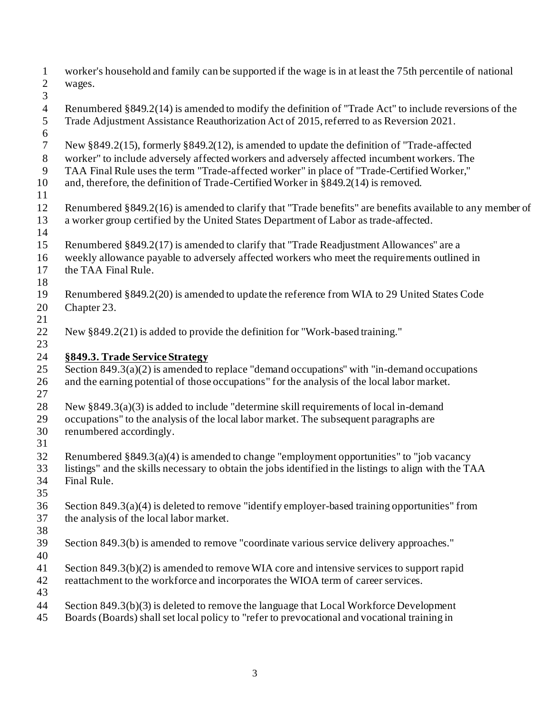worker's household and family can be supported if the wage is in at least the 75th percentile of national wages. Renumbered §849.2(14) is amended to modify the definition of "Trade Act" to include reversions of the Trade Adjustment Assistance Reauthorization Act of 2015, referred to as Reversion 2021. New §849.2(15), formerly §849.2(12), is amended to update the definition of "Trade-affected worker" to include adversely affected workers and adversely affected incumbent workers. The TAA Final Rule uses the term "Trade-affected worker" in place of "Trade-Certified Worker," and, therefore, the definition of Trade-Certified Worker in §849.2(14) is removed. Renumbered §849.2(16) is amended to clarify that "Trade benefits" are benefits available to any member of a worker group certified by the United States Department of Labor as trade-affected. Renumbered §849.2(17) is amended to clarify that "Trade Readjustment Allowances" are a weekly allowance payable to adversely affected workers who meet the requirements outlined in the TAA Final Rule. Renumbered §849.2(20) is amended to update the reference from WIA to 29 United States Code Chapter 23. New §849.2(21) is added to provide the definition for "Work-based training." **§849.3. Trade Service Strategy** 25 Section  $849.3(a)(2)$  is amended to replace "demand occupations" with "in-demand occupations" and the earning potential of those occupations" for the analysis of the local labor market. New §849.3(a)(3) is added to include "determine skill requirements of local in-demand occupations" to the analysis of the local labor market. The subsequent paragraphs are renumbered accordingly. Renumbered §849.3(a)(4) is amended to change "employment opportunities" to "job vacancy listings" and the skills necessary to obtain the jobs identified in the listings to align with the TAA Final Rule. Section 849.3(a)(4) is deleted to remove "identify employer-based training opportunities" from the analysis of the local labor market. Section 849.3(b) is amended to remove "coordinate various service delivery approaches." Section 849.3(b)(2) is amended to remove WIA core and intensive services to support rapid reattachment to the workforce and incorporates the WIOA term of career services. Section 849.3(b)(3) is deleted to remove the language that Local Workforce Development Boards (Boards) shall set local policy to "refer to prevocational and vocational training in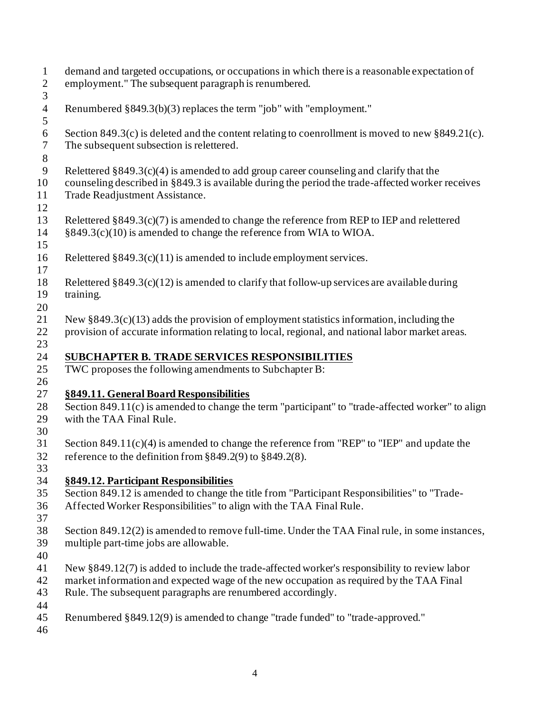| $\mathbf{1}$<br>$\boldsymbol{2}$<br>$\overline{3}$ | demand and targeted occupations, or occupations in which there is a reasonable expectation of<br>employment." The subsequent paragraph is renumbered.                                                                                                       |
|----------------------------------------------------|-------------------------------------------------------------------------------------------------------------------------------------------------------------------------------------------------------------------------------------------------------------|
| $\overline{4}$<br>5                                | Renumbered §849.3(b)(3) replaces the term "job" with "employment."                                                                                                                                                                                          |
| $\sqrt{6}$<br>$\boldsymbol{7}$<br>$8\,$            | Section 849.3(c) is deleted and the content relating to coenrollment is moved to new $§ 849.21(c)$ .<br>The subsequent subsection is relettered.                                                                                                            |
| 9<br>10<br>11<br>12                                | Relettered $§849.3(c)(4)$ is amended to add group career counseling and clarify that the<br>counseling described in §849.3 is available during the period the trade-affected worker receives<br>Trade Readjustment Assistance.                              |
| 13<br>14<br>15                                     | Relettered $§849.3(c)(7)$ is amended to change the reference from REP to IEP and relettered<br>§849.3(c)(10) is amended to change the reference from WIA to WIOA.                                                                                           |
| 16<br>17                                           | Relettered $\S 849.3(c)(11)$ is amended to include employment services.                                                                                                                                                                                     |
| 18<br>19<br>20                                     | Relettered $§849.3(c)(12)$ is amended to clarify that follow-up services are available during<br>training.                                                                                                                                                  |
| 21<br>22<br>23                                     | New $\S 849.3(c)(13)$ adds the provision of employment statistics information, including the<br>provision of accurate information relating to local, regional, and national labor market areas.                                                             |
| 24<br>25<br>26                                     | <b>SUBCHAPTER B. TRADE SERVICES RESPONSIBILITIES</b><br>TWC proposes the following amendments to Subchapter B:                                                                                                                                              |
| 27                                                 | §849.11. General Board Responsibilities                                                                                                                                                                                                                     |
| 28<br>29<br>30                                     | Section 849.11(c) is amended to change the term "participant" to "trade-affected worker" to align<br>with the TAA Final Rule.                                                                                                                               |
| 31<br>32<br>33                                     | Section 849.11(c)(4) is amended to change the reference from "REP" to "IEP" and update the<br>reference to the definition from $\S 849.2(9)$ to $\S 849.2(8)$ .                                                                                             |
| 34                                                 | §849.12. Participant Responsibilities                                                                                                                                                                                                                       |
| 35                                                 | Section 849.12 is amended to change the title from "Participant Responsibilities" to "Trade-                                                                                                                                                                |
| 36<br>37                                           | Affected Worker Responsibilities" to align with the TAA Final Rule.                                                                                                                                                                                         |
| 38<br>39<br>40                                     | Section 849.12(2) is amended to remove full-time. Under the TAA Final rule, in some instances,<br>multiple part-time jobs are allowable.                                                                                                                    |
| 41<br>42<br>43<br>44                               | New $\S 849.12(7)$ is added to include the trade-affected worker's responsibility to review labor<br>market information and expected wage of the new occupation as required by the TAA Final<br>Rule. The subsequent paragraphs are renumbered accordingly. |
| 45<br>46                                           | Renumbered §849.12(9) is amended to change "trade funded" to "trade-approved."                                                                                                                                                                              |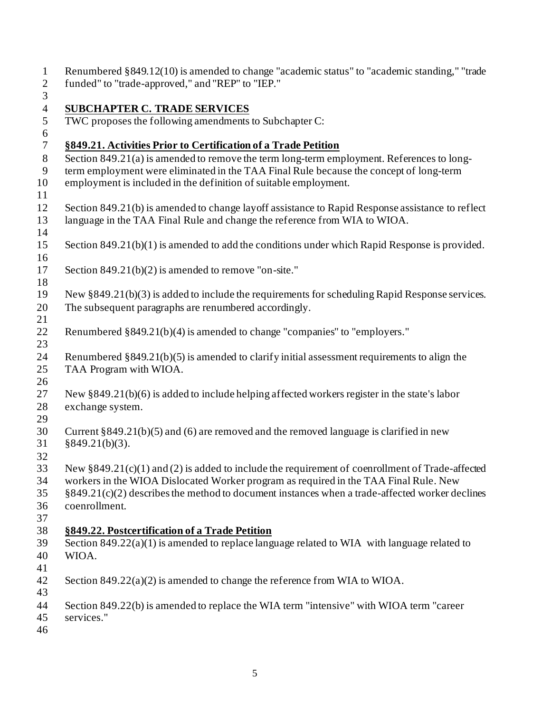| $\mathbf{1}$<br>$\overline{2}$ | Renumbered § 849.12(10) is amended to change "academic status" to "academic standing," "trade<br>funded" to "trade-approved," and "REP" to "IEP." |
|--------------------------------|---------------------------------------------------------------------------------------------------------------------------------------------------|
| 3                              |                                                                                                                                                   |
| $\overline{4}$                 | <b>SUBCHAPTER C. TRADE SERVICES</b>                                                                                                               |
| 5                              |                                                                                                                                                   |
| $\boldsymbol{6}$               | TWC proposes the following amendments to Subchapter C:                                                                                            |
| $\overline{7}$                 | §849.21. Activities Prior to Certification of a Trade Petition                                                                                    |
| $8\,$                          | Section 849.21(a) is amended to remove the term long-term employment. References to long-                                                         |
| 9                              | term employment were eliminated in the TAA Final Rule because the concept of long-term                                                            |
| 10                             | employment is included in the definition of suitable employment.                                                                                  |
| 11                             |                                                                                                                                                   |
| 12                             | Section 849.21(b) is amended to change layoff assistance to Rapid Response assistance to reflect                                                  |
| 13<br>14                       | language in the TAA Final Rule and change the reference from WIA to WIOA.                                                                         |
| 15                             | Section $849.21(b)(1)$ is amended to add the conditions under which Rapid Response is provided.                                                   |
| 16                             |                                                                                                                                                   |
| 17                             | Section $849.21(b)(2)$ is amended to remove "on-site."                                                                                            |
| 18                             |                                                                                                                                                   |
| 19                             | New $\S 849.21(b)(3)$ is added to include the requirements for scheduling Rapid Response services.                                                |
| 20                             | The subsequent paragraphs are renumbered accordingly.                                                                                             |
| 21                             |                                                                                                                                                   |
| 22                             | Renumbered §849.21(b)(4) is amended to change "companies" to "employers."                                                                         |
| 23                             |                                                                                                                                                   |
| 24                             | Renumbered $\S 849.21(b)(5)$ is amended to clarify initial assessment requirements to align the                                                   |
| 25                             | TAA Program with WIOA.                                                                                                                            |
| 26                             |                                                                                                                                                   |
| 27                             | New $\S 849.21(b)(6)$ is added to include helping affected workers register in the state's labor                                                  |
| 28                             | exchange system.                                                                                                                                  |
| 29                             |                                                                                                                                                   |
| 30                             | Current $\S 849.21(b)(5)$ and (6) are removed and the removed language is clarified in new                                                        |
| 31                             | §849.21(b)(3).                                                                                                                                    |
| 32                             |                                                                                                                                                   |
| 33                             | New $\S 849.21(c)(1)$ and (2) is added to include the requirement of coenrollment of Trade-affected                                               |
| 34                             | workers in the WIOA Dislocated Worker program as required in the TAA Final Rule. New                                                              |
| 35                             | $§849.21(c)(2)$ describes the method to document instances when a trade-affected worker declines                                                  |
| 36                             | coenrollment.                                                                                                                                     |
| 37                             |                                                                                                                                                   |
| 38                             | §849.22. Postcertification of a Trade Petition                                                                                                    |
| 39                             | Section $849.22(a)(1)$ is amended to replace language related to WIA with language related to                                                     |
| 40                             | WIOA.                                                                                                                                             |
| 41                             |                                                                                                                                                   |
| 42                             | Section $849.22(a)(2)$ is amended to change the reference from WIA to WIOA.                                                                       |
| 43                             |                                                                                                                                                   |
| 44                             | Section 849.22(b) is amended to replace the WIA term "intensive" with WIOA term "career                                                           |
| 45                             | services."                                                                                                                                        |
| 46                             |                                                                                                                                                   |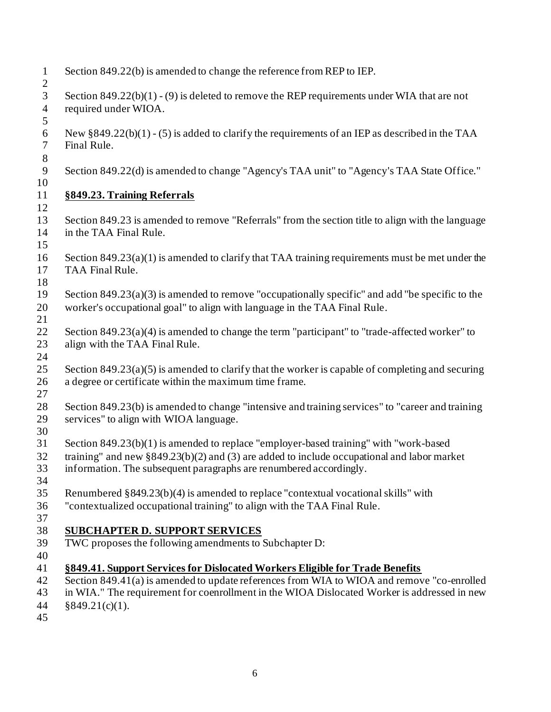- Section 849.22(b) is amended to change the reference from REP to IEP. Section 849.22(b)(1) - (9) is deleted to remove the REP requirements under WIA that are not required under WIOA. New §849.22(b)(1) - (5) is added to clarify the requirements of an IEP as described in the TAA Final Rule. Section 849.22(d) is amended to change "Agency's TAA unit" to "Agency's TAA State Office." **§849.23. Training Referrals** Section 849.23 is amended to remove "Referrals" from the section title to align with the language in the TAA Final Rule. Section 849.23(a)(1) is amended to clarify that TAA training requirements must be met under the TAA Final Rule. Section 849.23(a)(3) is amended to remove "occupationally specific" and add "be specific to the worker's occupational goal" to align with language in the TAA Final Rule. 22 Section 849.23(a)(4) is amended to change the term "participant" to "trade-affected worker" to align with the TAA Final Rule. 25 Section  $849.23(a)(5)$  is amended to clarify that the worker is capable of completing and securing a degree or certificate within the maximum time frame. Section 849.23(b) is amended to change "intensive and training services" to "career and training services" to align with WIOA language. Section 849.23(b)(1) is amended to replace "employer-based training" with "work-based training" and new §849.23(b)(2) and (3) are added to include occupational and labor market information. The subsequent paragraphs are renumbered accordingly. Renumbered §849.23(b)(4) is amended to replace "contextual vocational skills" with "contextualized occupational training" to align with the TAA Final Rule. **SUBCHAPTER D. SUPPORT SERVICES**  TWC proposes the following amendments to Subchapter D: **§849.41. Support Services for Dislocated Workers Eligible for Trade Benefits** Section 849.41(a) is amended to update references from WIA to WIOA and remove "co-enrolled in WIA." The requirement for coenrollment in the WIOA Dislocated Worker is addressed in new §849.21(c)(1).
-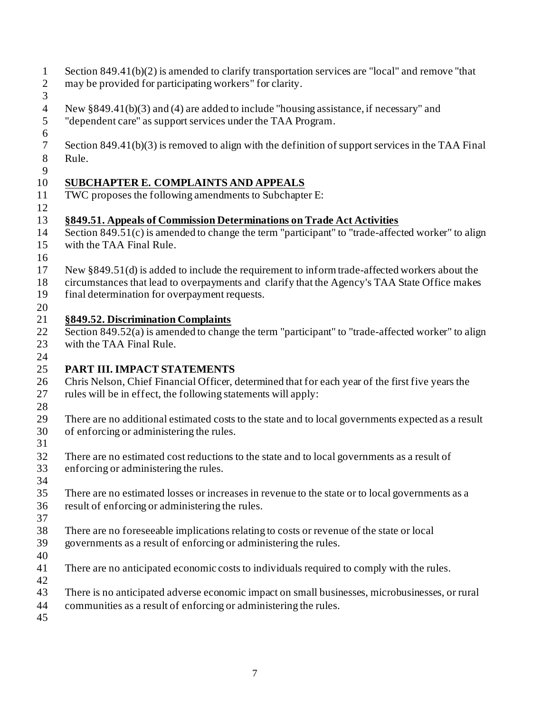- Section 849.41(b)(2) is amended to clarify transportation services are "local" and remove "that may be provided for participating workers" for clarity.
- 
- New §849.41(b)(3) and (4) are added to include "housing assistance, if necessary" and "dependent care" as support services under the TAA Program.
- 
- Section 849.41(b)(3) is removed to align with the definition of support services in the TAA Final Rule.
- 

### **SUBCHAPTER E. COMPLAINTS AND APPEALS**

- TWC proposes the following amendments to Subchapter E:
- 

## **§849.51. Appeals of Commission Determinations on Trade Act Activities**

- Section 849.51(c) is amended to change the term "participant" to "trade-affected worker" to align with the TAA Final Rule.
- 
- New §849.51(d) is added to include the requirement to inform trade-affected workers about the
- circumstances that lead to overpayments and clarify that the Agency's TAA State Office makes
- final determination for overpayment requests.
- 

### **§849.52. Discrimination Complaints**

- Section 849.52(a) is amended to change the term "participant" to "trade-affected worker" to align with the TAA Final Rule.
- 

## **PART III. IMPACT STATEMENTS**

- Chris Nelson, Chief Financial Officer, determined that for each year of the first five years the rules will be in effect, the following statements will apply:
- 
- There are no additional estimated costs to the state and to local governments expected as a result of enforcing or administering the rules.
- 
- There are no estimated cost reductions to the state and to local governments as a result of enforcing or administering the rules.
- 
- There are no estimated losses or increases in revenue to the state or to local governments as a result of enforcing or administering the rules.
- 
- There are no foreseeable implications relating to costs or revenue of the state or local
- governments as a result of enforcing or administering the rules.
- 
- There are no anticipated economic costs to individuals required to comply with the rules.
- 
- There is no anticipated adverse economic impact on small businesses, microbusinesses, or rural
- communities as a result of enforcing or administering the rules.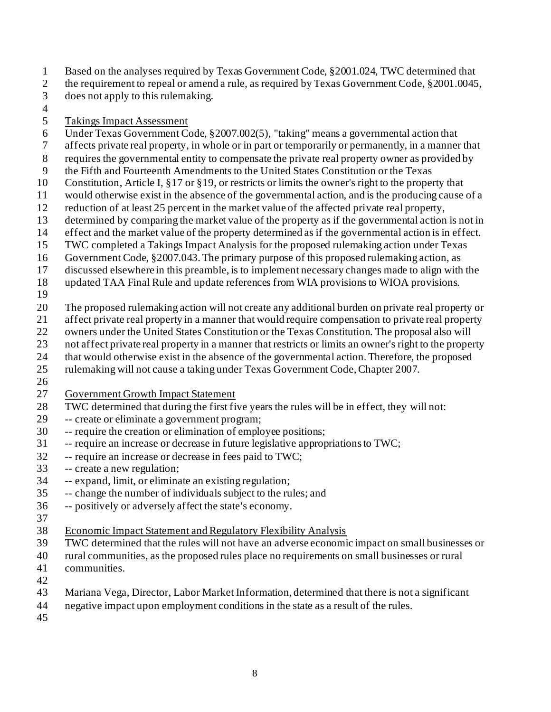- Based on the analyses required by Texas Government Code, §2001.024, TWC determined that
- 2 the requirement to repeal or amend a rule, as required by Texas Government Code, §2001.0045,
- does not apply to this rulemaking.
- 

#### Takings Impact Assessment

- Under Texas Government Code, §2007.002(5), "taking" means a governmental action that
- affects private real property, in whole or in part or temporarily or permanently, in a manner that
- requires the governmental entity to compensate the private real property owner as provided by
- the Fifth and Fourteenth Amendments to the United States Constitution or the Texas
- Constitution, Article I, §17 or §19, or restricts or limits the owner's right to the property that
- would otherwise exist in the absence of the governmental action, and is the producing cause of a
- reduction of at least 25 percent in the market value of the affected private real property,
- determined by comparing the market value of the property as if the governmental action is not in
- effect and the market value of the property determined as if the governmental action is in effect.
- TWC completed a Takings Impact Analysis for the proposed rulemaking action under Texas
- Government Code, §2007.043. The primary purpose of this proposed rulemaking action, as
- discussed elsewhere in this preamble, is to implement necessary changes made to align with the
- updated TAA Final Rule and update references from WIA provisions to WIOA provisions.
- 
- The proposed rulemaking action will not create any additional burden on private real property or
- affect private real property in a manner that would require compensation to private real property
- owners under the United States Constitution or the Texas Constitution. The proposal also will
- not affect private real property in a manner that restricts or limits an owner's right to the property
- that would otherwise exist in the absence of the governmental action. Therefore, the proposed
- rulemaking will not cause a taking under Texas Government Code, Chapter 2007.
- 
- Government Growth Impact Statement
- TWC determined that during the first five years the rules will be in effect, they will not:
- -- create or eliminate a government program;
- -- require the creation or elimination of employee positions;
- -- require an increase or decrease in future legislative appropriations to TWC;
- -- require an increase or decrease in fees paid to TWC;
- -- create a new regulation;
- -- expand, limit, or eliminate an existing regulation;
- -- change the number of individuals subject to the rules; and
- -- positively or adversely affect the state's economy.
- 
- Economic Impact Statement and Regulatory Flexibility Analysis
- TWC determined that the rules will not have an adverse economic impact on small businesses or
- rural communities, as the proposed rules place no requirements on small businesses or rural communities.
- 
- Mariana Vega, Director, Labor Market Information, determined that there is not a significant
- negative impact upon employment conditions in the state as a result of the rules.
-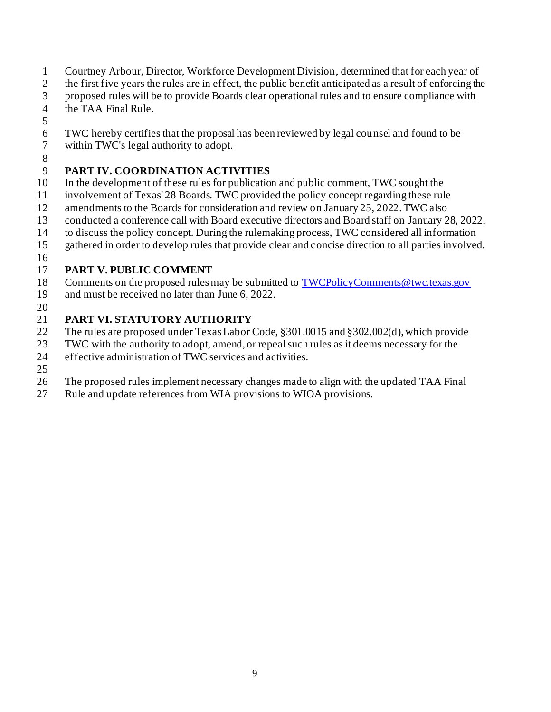- Courtney Arbour, Director, Workforce Development Division, determined that for each year of
- 2 the first five years the rules are in effect, the public benefit anticipated as a result of enforcing the
- proposed rules will be to provide Boards clear operational rules and to ensure compliance with the TAA Final Rule.
- 
- TWC hereby certifies that the proposal has been reviewed by legal counsel and found to be
- within TWC's legal authority to adopt.
- 

# **PART IV. COORDINATION ACTIVITIES**

- In the development of these rules for publication and public comment, TWC sought the
- involvement of Texas' 28 Boards. TWC provided the policy concept regarding these rule
- amendments to the Boards for consideration and review on January 25, 2022. TWC also
- conducted a conference call with Board executive directors and Board staff on January 28, 2022,
- to discuss the policy concept. During the rulemaking process, TWC considered all information
- gathered in order to develop rules that provide clear and concise direction to all parties involved.
- 

## **PART V. PUBLIC COMMENT**

- Comments on the proposed rules may be submitted t[o TWCPolicyComments@twc.texas.gov](mailto:TWCPolicyComments@twc.texas.gov)
- and must be received no later than June 6, 2022.
- 

# **PART VI. STATUTORY AUTHORITY**

- The rules are proposed under Texas Labor Code, §301.0015 and §302.002(d), which provide
- TWC with the authority to adopt, amend, or repeal such rules as it deems necessary for the
- effective administration of TWC services and activities.
- 
- The proposed rules implement necessary changes made to align with the updated TAA Final
- Rule and update references from WIA provisions to WIOA provisions.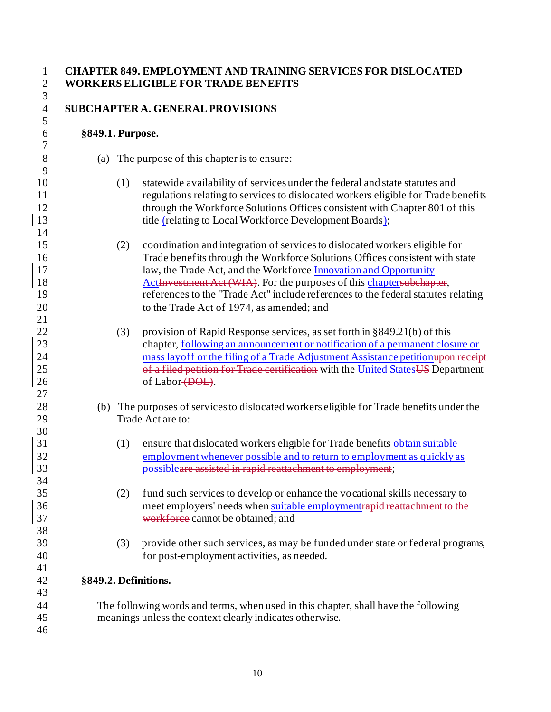#### **CHAPTER 849. EMPLOYMENT AND TRAINING SERVICES FOR DISLOCATED WORKERS ELIGIBLE FOR TRADE BENEFITS**

#### **SUBCHAPTER A. GENERALPROVISIONS**

#### **§849.1. Purpose.**

- (a) The purpose of this chapter is to ensure:
- (1) statewide availability of services under the federal and state statutes and regulations relating to services to dislocated workers eligible for Trade benefits through the Workforce Solutions Offices consistent with Chapter 801 of this 13 title (relating to Local Workforce Development Boards);
- (2) coordination and integration of services to dislocated workers eligible for Trade benefits through the Workforce Solutions Offices consistent with state 17 law, the Trade Act, and the Workforce Innovation and Opportunity 18 ActInvestment Act (WIA). For the purposes of this chaptersubchapter, references to the "Trade Act" include references to the federal statutes relating 20 to the Trade Act of 1974, as amended; and
- (3) provision of Rapid Response services, as set forth in §849.21(b) of this 23 chapter, <u>following an announcement or notification of a permanent closure or</u> 24 mass layoff or the filing of a Trade Adjustment Assistance petition upon receipt 25 of a filed petition for Trade certification with the United States US Department 26 of Labor (DOL).
- (b) The purposes of services to dislocated workers eligible for Trade benefits under the Trade Act are to:
- (1) ensure that dislocated workers eligible for Trade benefits obtain suitable employment whenever possible and to return to employment as quickly as possibleare assisted in rapid reattachment to employment;
- (2) fund such services to develop or enhance the vocational skills necessary to meet employers' needs when suitable employmentrapid reattachment to the workforce cannot be obtained; and
- (3) provide other such services, as may be funded under state or federal programs, for post-employment activities, as needed.

#### **§849.2. Definitions.**

 The following words and terms, when used in this chapter, shall have the following meanings unless the context clearly indicates otherwise.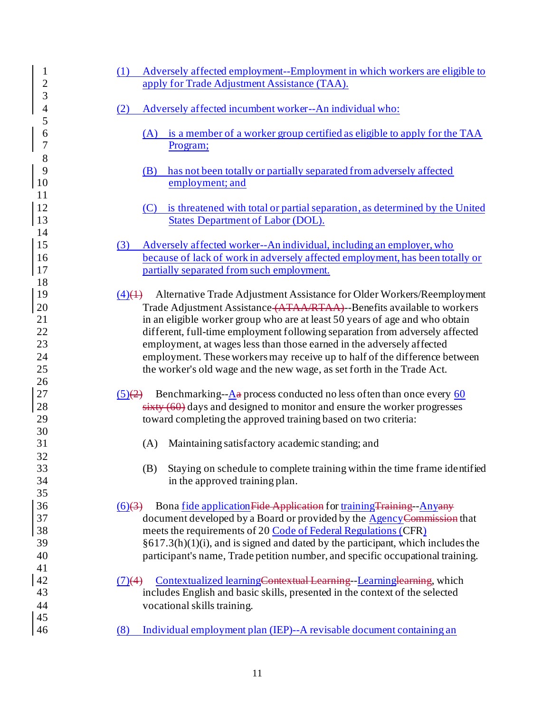| 1<br>$\overline{2}$      | Adversely affected employment--Employment in which workers are eligible to<br>(1)<br>apply for Trade Adjustment Assistance (TAA).                                                                                             |
|--------------------------|-------------------------------------------------------------------------------------------------------------------------------------------------------------------------------------------------------------------------------|
| 3<br>$\overline{4}$<br>5 | Adversely affected incumbent worker--An individual who:<br>(2)                                                                                                                                                                |
| 6<br>7<br>8              | (A) is a member of a worker group certified as eligible to apply for the TAA<br>Program;                                                                                                                                      |
| 9                        | has not been totally or partially separated from adversely affected                                                                                                                                                           |
| 10                       | (B)                                                                                                                                                                                                                           |
| 11                       | employment; and                                                                                                                                                                                                               |
| 12<br>13                 | is threatened with total or partial separation, as determined by the United<br>(C)<br><b>States Department of Labor (DOL).</b>                                                                                                |
| 14                       | Adversely affected worker--An individual, including an employer, who                                                                                                                                                          |
| 15                       | (3)                                                                                                                                                                                                                           |
| 16                       | because of lack of work in adversely affected employment, has been totally or                                                                                                                                                 |
| 17                       | partially separated from such employment.                                                                                                                                                                                     |
| 18                       | Alternative Trade Adjustment Assistance for Older Workers/Reemployment                                                                                                                                                        |
| 19                       | $\left(4\right)\left(4\right)$                                                                                                                                                                                                |
| 20                       | Trade Adjustment Assistance (ATAA/RTAA) -- Benefits available to workers                                                                                                                                                      |
| 21                       | in an eligible worker group who are at least 50 years of age and who obtain                                                                                                                                                   |
| 22                       | different, full-time employment following separation from adversely affected                                                                                                                                                  |
| 23<br>24<br>25<br>26     | employment, at wages less than those earned in the adversely affected<br>employment. These workers may receive up to half of the difference between<br>the worker's old wage and the new wage, as set forth in the Trade Act. |
| 27                       | Benchmarking- $-\underline{A}a$ process conducted no less often than once every 60                                                                                                                                            |
| 28                       | $\frac{(5)(2)}{2}$                                                                                                                                                                                                            |
| 29                       | $sixty(60)$ days and designed to monitor and ensure the worker progresses                                                                                                                                                     |
| 30                       | toward completing the approved training based on two criteria:                                                                                                                                                                |
| 31                       | Maintaining satisfactory academic standing; and                                                                                                                                                                               |
| 32                       | (A)                                                                                                                                                                                                                           |
| 33                       | Staying on schedule to complete training within the time frame identified                                                                                                                                                     |
| 34                       | (B)                                                                                                                                                                                                                           |
| 35                       | in the approved training plan.                                                                                                                                                                                                |
| 36                       | Bona fide application Fide Application for training Training - Anyany                                                                                                                                                         |
| 37                       | $(6)$ $(3)$                                                                                                                                                                                                                   |
| 38                       | document developed by a Board or provided by the Agency Commission that                                                                                                                                                       |
| 39                       | meets the requirements of 20 Code of Federal Regulations (CFR)                                                                                                                                                                |
| 40                       | $§617.3(h)(1)(i)$ , and is signed and dated by the participant, which includes the                                                                                                                                            |
| 41                       | participant's name, Trade petition number, and specific occupational training.                                                                                                                                                |
| 42<br>43<br>44           | Contextualized learningContextual Learning-Learninglearning, which<br>(7)(4)<br>includes English and basic skills, presented in the context of the selected<br>vocational skills training.                                    |
| 45                       | Individual employment plan (IEP)--A revisable document containing an                                                                                                                                                          |
| 46                       | (8)                                                                                                                                                                                                                           |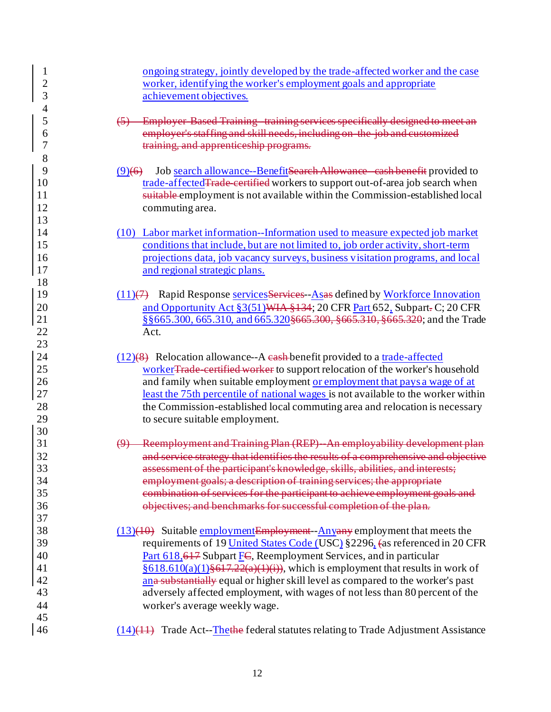| 1              | ongoing strategy, jointly developed by the trade-affected worker and the case                 |
|----------------|-----------------------------------------------------------------------------------------------|
| $\overline{2}$ | worker, identifying the worker's employment goals and appropriate                             |
| 3              | achievement objectives.                                                                       |
| 4              |                                                                                               |
| 5              | Employer Based Training training services specifically designed to meet an                    |
| 6              | employer's staffing and skill needs, including on the job and customized                      |
| 7              | training, and apprenticeship programs.                                                        |
| 8              |                                                                                               |
| 9              | Job search allowance--BenefitSearch Allowance cash benefit provided to<br>$(9)$ (6)           |
| 10             | trade-affected Trade certified workers to support out-of-area job search when                 |
| 11             | suitable employment is not available within the Commission-established local                  |
| 12             | commuting area.                                                                               |
| 13             |                                                                                               |
| 14             | (10) Labor market information--Information used to measure expected job market                |
| 15             | conditions that include, but are not limited to, job order activity, short-term               |
| 16             | projections data, job vacancy surveys, business visitation programs, and local                |
| 17             | and regional strategic plans.                                                                 |
| 18             |                                                                                               |
| 19             | $(11)(7)$ Rapid Response services Services - As as defined by Workforce Innovation            |
| 20             | and Opportunity Act §3(51) WIA §134; 20 CFR Part 652, Subpart-C; 20 CFR                       |
| 21             | § § 665.300, 665.310, and 665.320 § 665.300, § 665.310, § 665.320; and the Trade              |
| 22             | Act.                                                                                          |
| 23             |                                                                                               |
| 24             | $(12)(8)$ Relocation allowance--A eash-benefit provided to a trade-affected                   |
| 25             | workerTrade certified worker to support relocation of the worker's household                  |
| 26             | and family when suitable employment or employment that pays a wage of at                      |
| 27             | least the 75th percentile of national wages is not available to the worker within             |
| 28             | the Commission-established local commuting area and relocation is necessary                   |
| 29             | to secure suitable employment.                                                                |
| 30             |                                                                                               |
| 31             | Reemployment and Training Plan (REP) An employability development plan                        |
| 32             | and service strategy that identifies the results of a comprehensive and objective             |
| 33             | assessment of the participant's knowledge, skills, abilities, and interests;                  |
| 34             | employment goals; a description of training services; the appropriate                         |
| 35             | combination of services for the participant to achieve employment goals and                   |
| 36             | objectives; and benchmarks for successful completion of the plan.                             |
| 37             |                                                                                               |
| 38             | $\frac{(13)(10)}{(13)(10)}$ Suitable employment Employment - Anyany employment that meets the |
| 39             | requirements of 19 United States Code (USC) §2296, (as referenced in 20 CFR                   |
| 40             | Part 618,617 Subpart FC, Reemployment Services, and in particular                             |
| 41             | $§618.610(a)(1)§617.22(a)(1)(i)$ , which is employment that results in work of                |
| 42             | ana substantially equal or higher skill level as compared to the worker's past                |
| 43             | adversely affected employment, with wages of not less than 80 percent of the                  |
| 44             | worker's average weekly wage.                                                                 |
| 45             |                                                                                               |
| 46             | $(14)(44)$ Trade Act-Thethe federal statutes relating to Trade Adjustment Assistance          |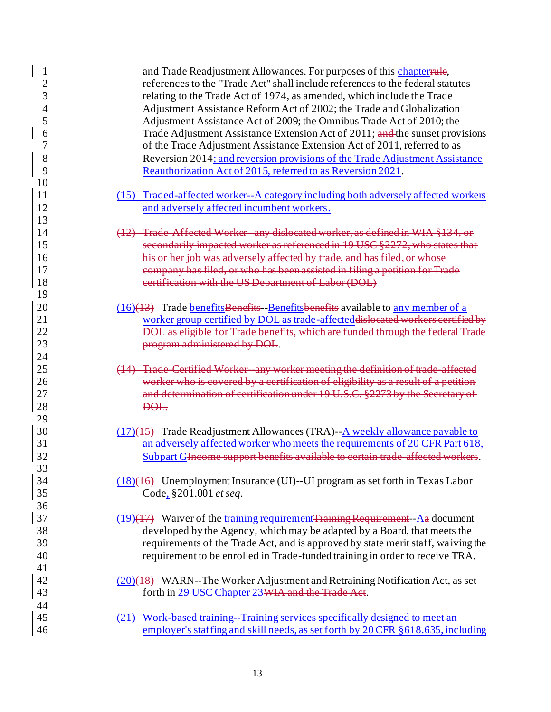| $\mathbf{1}$<br>$\overline{2}$<br>3<br>$\overline{4}$<br>5<br>6<br>7<br>8<br>9<br>10 | and Trade Readjustment Allowances. For purposes of this chapterrule,<br>references to the "Trade Act" shall include references to the federal statutes<br>relating to the Trade Act of 1974, as amended, which include the Trade<br>Adjustment Assistance Reform Act of 2002; the Trade and Globalization<br>Adjustment Assistance Act of 2009; the Omnibus Trade Act of 2010; the<br>Trade Adjustment Assistance Extension Act of 2011; and the sunset provisions<br>of the Trade Adjustment Assistance Extension Act of 2011, referred to as<br>Reversion 2014; and reversion provisions of the Trade Adjustment Assistance<br>Reauthorization Act of 2015, referred to as Reversion 2021. |
|--------------------------------------------------------------------------------------|----------------------------------------------------------------------------------------------------------------------------------------------------------------------------------------------------------------------------------------------------------------------------------------------------------------------------------------------------------------------------------------------------------------------------------------------------------------------------------------------------------------------------------------------------------------------------------------------------------------------------------------------------------------------------------------------|
| 11<br>12<br>13                                                                       | Traded-affected worker--A category including both adversely affected workers<br>(15)<br>and adversely affected incumbent workers.                                                                                                                                                                                                                                                                                                                                                                                                                                                                                                                                                            |
| 14<br>15                                                                             | (12) Trade Affected Worker any dislocated worker, as defined in WIA §134, or<br>secondarily impacted worker as referenced in 19 USC §2272, who states that                                                                                                                                                                                                                                                                                                                                                                                                                                                                                                                                   |
| 16<br>17<br>18                                                                       | his or her job was adversely affected by trade, and has filed, or whose<br>company has filed, or who has been assisted in filing a petition for Trade<br>eertification with the US Department of Labor (DOL)                                                                                                                                                                                                                                                                                                                                                                                                                                                                                 |
| 19<br>20<br>21<br>22                                                                 | (16)(13) Trade benefits Benefits - Benefits benefits available to any member of a<br>worker group certified by DOL as trade-affected dislocated workers certified by<br>DOL as eligible for Trade benefits, which are funded through the federal Trade                                                                                                                                                                                                                                                                                                                                                                                                                                       |
| 23<br>24<br>25<br>26                                                                 | program administered by DOL.<br>(14) Trade Certified Worker any worker meeting the definition of trade affected<br>worker who is covered by a certification of eligibility as a result of a petition                                                                                                                                                                                                                                                                                                                                                                                                                                                                                         |
| 27<br>28<br>29                                                                       | and determination of certification under 19 U.S.C. §2273 by the Secretary of<br><del>DOL.</del>                                                                                                                                                                                                                                                                                                                                                                                                                                                                                                                                                                                              |
| 30<br>31<br>32                                                                       | $(17)(45)$ Trade Readjustment Allowances (TRA)--A weekly allowance payable to<br>an adversely affected worker who meets the requirements of 20 CFR Part 618,<br>Subpart GIncome support benefits available to certain trade affected workers.                                                                                                                                                                                                                                                                                                                                                                                                                                                |
| 33<br>34<br>35                                                                       | $(18)(16)$ Unemployment Insurance (UI)--UI program as set forth in Texas Labor<br>Code, §201.001 et seq.                                                                                                                                                                                                                                                                                                                                                                                                                                                                                                                                                                                     |
| 36<br>37<br>38<br>39<br>40                                                           | $(19)(17)$ Waiver of the training requirement Training Requirement - $\Delta a$ document<br>developed by the Agency, which may be adapted by a Board, that meets the<br>requirements of the Trade Act, and is approved by state merit staff, waiving the<br>requirement to be enrolled in Trade-funded training in order to receive TRA.                                                                                                                                                                                                                                                                                                                                                     |
| 41<br>42<br>43                                                                       | $(20)(18)$ WARN--The Worker Adjustment and Retraining Notification Act, as set<br>forth in 29 USC Chapter 23 WIA and the Trade Act.                                                                                                                                                                                                                                                                                                                                                                                                                                                                                                                                                          |
| 44<br>45<br>46                                                                       | (21) Work-based training--Training services specifically designed to meet an<br>employer's staffing and skill needs, as set forth by 20 CFR § 618.635, including                                                                                                                                                                                                                                                                                                                                                                                                                                                                                                                             |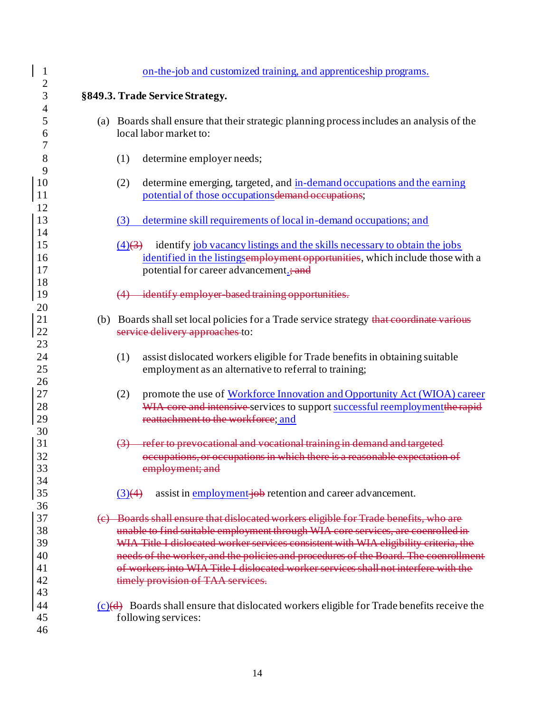| $\mathbf{1}$         | on-the-job and customized training, and apprenticeship programs.                                                                                                                                                                                                |
|----------------------|-----------------------------------------------------------------------------------------------------------------------------------------------------------------------------------------------------------------------------------------------------------------|
| $\overline{c}$<br>3  |                                                                                                                                                                                                                                                                 |
| 4                    | §849.3. Trade Service Strategy.                                                                                                                                                                                                                                 |
| 5<br>6               | (a) Boards shall ensure that their strategic planning process includes an analysis of the<br>local labor market to:                                                                                                                                             |
| 7                    |                                                                                                                                                                                                                                                                 |
| 8<br>9               | (1)<br>determine employer needs;                                                                                                                                                                                                                                |
| 10<br>11             | (2)<br>determine emerging, targeted, and in-demand occupations and the earning<br>potential of those occupations demand occupations;                                                                                                                            |
| 12<br>13<br>14       | (3)<br>determine skill requirements of local in-demand occupations; and                                                                                                                                                                                         |
| 15<br>16<br>17       | identify job vacancy listings and the skills necessary to obtain the jobs<br>$(4)$ $(3)$<br>identified in the listings employment opportunities, which include those with a<br>potential for career advancement.; and                                           |
| 18<br>19<br>20       | (4) identify employer based training opportunities.                                                                                                                                                                                                             |
| 21<br>22<br>23       | (b) Boards shall set local policies for a Trade service strategy that coordinate various<br>service delivery approaches to:                                                                                                                                     |
| 24<br>25<br>26       | assist dislocated workers eligible for Trade benefits in obtaining suitable<br>(1)<br>employment as an alternative to referral to training;                                                                                                                     |
| 27<br>28<br>29       | promote the use of Workforce Innovation and Opportunity Act (WIOA) career<br>(2)<br>WIA core and intensive services to support successful reemployment the rapid<br>reattachment to the workforce; and                                                          |
| 30<br>31<br>32<br>33 | refer to prevocational and vocational training in demand and targeted<br>occupations, or occupations in which there is a reasonable expectation of<br>employment; and                                                                                           |
| 34<br>35<br>36       | assist in employment-job retention and career advancement.<br>$\left(3\right)$ (4)                                                                                                                                                                              |
| 37<br>38<br>39       | (c) Boards shall ensure that dislocated workers eligible for Trade benefits, who are<br>unable to find suitable employment through WIA core services, are coenrolled in<br>WIA Title I dislocated worker services consistent with WIA eligibility criteria, the |
| 40<br>41<br>42<br>43 | needs of the worker, and the policies and procedures of the Board. The coenrollment<br>of workers into WIA Title I dislocated worker services shall not interfere with the<br>timely provision of TAA services.                                                 |
| 44<br>45<br>46       | $(c)(d)$ Boards shall ensure that dislocated workers eligible for Trade benefits receive the<br>following services:                                                                                                                                             |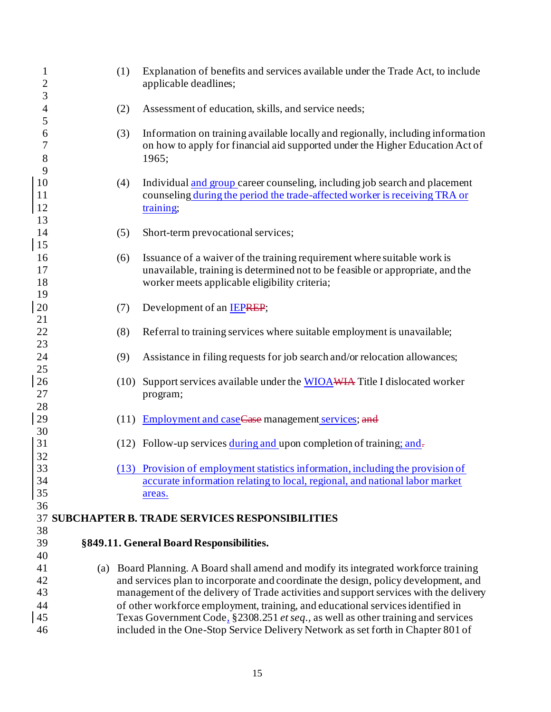| $\mathbf{1}$<br>$\overline{c}$ | (1)  | Explanation of benefits and services available under the Trade Act, to include<br>applicable deadlines;                                                                      |
|--------------------------------|------|------------------------------------------------------------------------------------------------------------------------------------------------------------------------------|
| 3<br>$\overline{\mathcal{A}}$  | (2)  | Assessment of education, skills, and service needs;                                                                                                                          |
| 5                              |      |                                                                                                                                                                              |
| 6<br>7<br>8                    | (3)  | Information on training available locally and regionally, including information<br>on how to apply for financial aid supported under the Higher Education Act of<br>1965;    |
| 9                              |      |                                                                                                                                                                              |
| 10<br>11<br>12                 | (4)  | Individual and group career counseling, including job search and placement<br>counseling during the period the trade-affected worker is receiving TRA or<br>training;        |
| 13                             |      |                                                                                                                                                                              |
| 14<br>15                       | (5)  | Short-term prevocational services;                                                                                                                                           |
| 16                             | (6)  | Issuance of a waiver of the training requirement where suitable work is                                                                                                      |
| 17                             |      | unavailable, training is determined not to be feasible or appropriate, and the                                                                                               |
| 18                             |      | worker meets applicable eligibility criteria;                                                                                                                                |
| 19                             |      |                                                                                                                                                                              |
| 20                             | (7)  | Development of an <b>IEPREP</b> ;                                                                                                                                            |
| 21                             |      |                                                                                                                                                                              |
| 22                             | (8)  | Referral to training services where suitable employment is unavailable;                                                                                                      |
| 23                             |      |                                                                                                                                                                              |
| 24                             | (9)  | Assistance in filing requests for job search and/or relocation allowances;                                                                                                   |
| 25                             |      |                                                                                                                                                                              |
| 26                             | (10) | Support services available under the WIOAWIA Title I dislocated worker                                                                                                       |
| 27                             |      | program;                                                                                                                                                                     |
| 28                             |      |                                                                                                                                                                              |
| 29                             | (11) | <b>Employment and case Case management services; and</b>                                                                                                                     |
| 30                             |      |                                                                                                                                                                              |
| 31                             |      | (12) Follow-up services during and upon completion of training; and-                                                                                                         |
| 32                             |      |                                                                                                                                                                              |
| 33                             |      | (13) Provision of employment statistics information, including the provision of                                                                                              |
| 34                             |      | accurate information relating to local, regional, and national labor market                                                                                                  |
| 35                             |      | areas.                                                                                                                                                                       |
| 36                             |      |                                                                                                                                                                              |
| 37                             |      | <b>SUBCHAPTER B. TRADE SERVICES RESPONSIBILITIES</b>                                                                                                                         |
| 38                             |      |                                                                                                                                                                              |
| 39                             |      | §849.11. General Board Responsibilities.                                                                                                                                     |
| 40                             |      |                                                                                                                                                                              |
| 41<br>42                       |      | (a) Board Planning. A Board shall amend and modify its integrated workforce training                                                                                         |
| 43                             |      | and services plan to incorporate and coordinate the design, policy development, and<br>management of the delivery of Trade activities and support services with the delivery |
| 44                             |      | of other workforce employment, training, and educational services identified in                                                                                              |
| 45                             |      | Texas Government Code, §2308.251 et seq., as well as other training and services                                                                                             |
| 46                             |      | included in the One-Stop Service Delivery Network as set forth in Chapter 801 of                                                                                             |
|                                |      |                                                                                                                                                                              |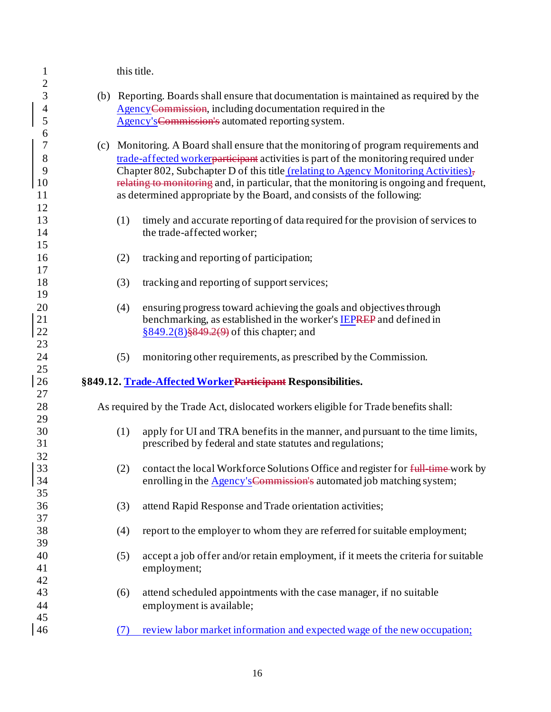1 this title.

| $\overline{c}$           |     |     |                                                                                         |
|--------------------------|-----|-----|-----------------------------------------------------------------------------------------|
| 3                        |     |     | (b) Reporting. Boards shall ensure that documentation is maintained as required by the  |
| $\overline{\mathcal{A}}$ |     |     | AgencyCommission, including documentation required in the                               |
| 5                        |     |     | Agency's Commission's automated reporting system.                                       |
| 6                        |     |     |                                                                                         |
| $\overline{7}$           | (c) |     | Monitoring. A Board shall ensure that the monitoring of program requirements and        |
| 8                        |     |     |                                                                                         |
|                          |     |     | trade-affected worker participant activities is part of the monitoring required under   |
| 9                        |     |     | Chapter 802, Subchapter D of this title (relating to Agency Monitoring Activities),     |
| 10                       |     |     | relating to monitoring and, in particular, that the monitoring is ongoing and frequent, |
| 11                       |     |     | as determined appropriate by the Board, and consists of the following:                  |
| 12                       |     |     |                                                                                         |
| 13                       |     | (1) | timely and accurate reporting of data required for the provision of services to         |
| 14                       |     |     | the trade-affected worker;                                                              |
| 15                       |     |     |                                                                                         |
| 16                       |     | (2) | tracking and reporting of participation;                                                |
| 17                       |     |     |                                                                                         |
| 18                       |     | (3) | tracking and reporting of support services;                                             |
| 19                       |     |     |                                                                                         |
| 20                       |     | (4) | ensuring progress toward achieving the goals and objectives through                     |
| $21\,$                   |     |     | benchmarking, as established in the worker's <b>IEPREP</b> and defined in               |
| 22                       |     |     | $§849.2(8)$ §849.2(9) of this chapter; and                                              |
| 23                       |     |     |                                                                                         |
| 24                       |     | (5) | monitoring other requirements, as prescribed by the Commission.                         |
| 25                       |     |     |                                                                                         |
| 26                       |     |     | §849.12. Trade-Affected WorkerParticipant Responsibilities.                             |
| 27<br>28                 |     |     | As required by the Trade Act, dislocated workers eligible for Trade benefits shall:     |
| 29                       |     |     |                                                                                         |
| 30                       |     | (1) | apply for UI and TRA benefits in the manner, and pursuant to the time limits,           |
| 31                       |     |     | prescribed by federal and state statutes and regulations;                               |
| 32                       |     |     |                                                                                         |
| 33                       |     | (2) | contact the local Workforce Solutions Office and register for full time work by         |
| 34                       |     |     | enrolling in the <b>Agency's Commission's</b> automated job matching system;            |
| 35                       |     |     |                                                                                         |
| 36                       |     | (3) | attend Rapid Response and Trade orientation activities;                                 |
| 37                       |     |     |                                                                                         |
| 38                       |     | (4) | report to the employer to whom they are referred for suitable employment;               |
| 39                       |     |     |                                                                                         |
| 40                       |     | (5) | accept a job offer and/or retain employment, if it meets the criteria for suitable      |
| 41                       |     |     | employment;                                                                             |
| 42                       |     |     |                                                                                         |
| 43                       |     | (6) |                                                                                         |
|                          |     |     | attend scheduled appointments with the case manager, if no suitable                     |
| 44                       |     |     | employment is available;                                                                |
| 45                       |     |     |                                                                                         |
| 46                       |     | (7) | review labor market information and expected wage of the new occupation;                |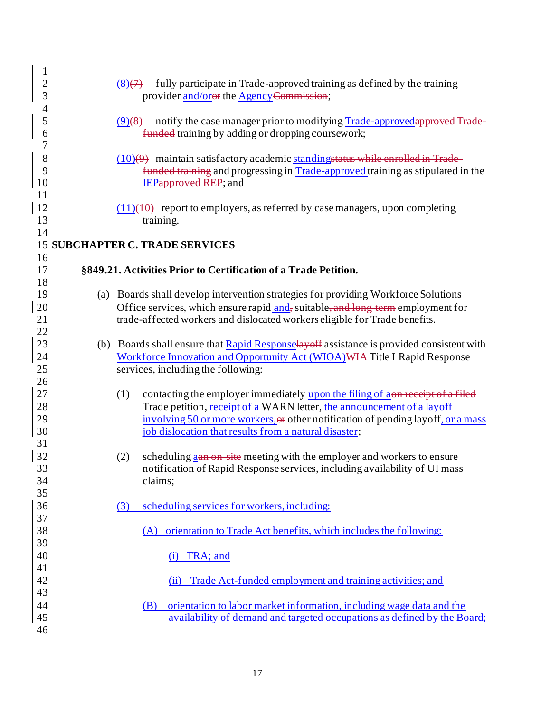| $\mathbf{1}$   |                                                                                                  |
|----------------|--------------------------------------------------------------------------------------------------|
| $\overline{c}$ | fully participate in Trade-approved training as defined by the training<br>$(8) \leftrightarrow$ |
| 3              | provider and/orer the Agency Commission;                                                         |
| 4              |                                                                                                  |
| 5              | notify the case manager prior to modifying Trade-approved approved Trade-<br>$(9)$ (8)           |
| 6              | funded training by adding or dropping coursework;                                                |
| 7              |                                                                                                  |
| 8              | $(10)(9)$ maintain satisfactory academic standing status while enrolled in Trade-                |
| 9              | funded training and progressing in Trade-approved training as stipulated in the                  |
| 10<br>11       | <b>IEPapproved REP</b> ; and                                                                     |
| 12             | $(11)(10)$ report to employers, as referred by case managers, upon completing                    |
| 13             | training.                                                                                        |
| 14             |                                                                                                  |
|                | <b>15 SUBCHAPTER C. TRADE SERVICES</b>                                                           |
| 16             |                                                                                                  |
| 17             | §849.21. Activities Prior to Certification of a Trade Petition.                                  |
| 18             |                                                                                                  |
| 19             | (a) Boards shall develop intervention strategies for providing Workforce Solutions               |
| 20             | Office services, which ensure rapid and, suitable, and long term employment for                  |
| 21             | trade-affected workers and dislocated workers eligible for Trade benefits.                       |
| 22<br>23       | (b) Boards shall ensure that <b>Rapid Responselay off</b> assistance is provided consistent with |
| 24             | Workforce Innovation and Opportunity Act (WIOA) WIA Title I Rapid Response                       |
| 25             | services, including the following:                                                               |
| 26             |                                                                                                  |
| 27             | contacting the employer immediately upon the filing of aon receipt of a filed<br>(1)             |
| 28             | Trade petition, receipt of a WARN letter, the announcement of a layoff                           |
| 29             | involving 50 or more workers, or other notification of pending layoff, or a mass                 |
| 30             | job dislocation that results from a natural disaster;                                            |
| 31             |                                                                                                  |
| 32             | scheduling as an on-site meeting with the employer and workers to ensure<br>(2)                  |
| 33             | notification of Rapid Response services, including availability of UI mass                       |
| 34             | claims;                                                                                          |
| 35             |                                                                                                  |
| 36<br>37       | scheduling services for workers, including:<br>(3)                                               |
| 38             | (A) orientation to Trade Act benefits, which includes the following:                             |
| 39             |                                                                                                  |
| 40             | TRA; and<br>(i)                                                                                  |
| 41             |                                                                                                  |
| 42             | Trade Act-funded employment and training activities; and<br>(ii)                                 |
| 43             |                                                                                                  |
| 44             | orientation to labor market information, including wage data and the<br>(B)                      |
| 45             | availability of demand and targeted occupations as defined by the Board;                         |
| 46             |                                                                                                  |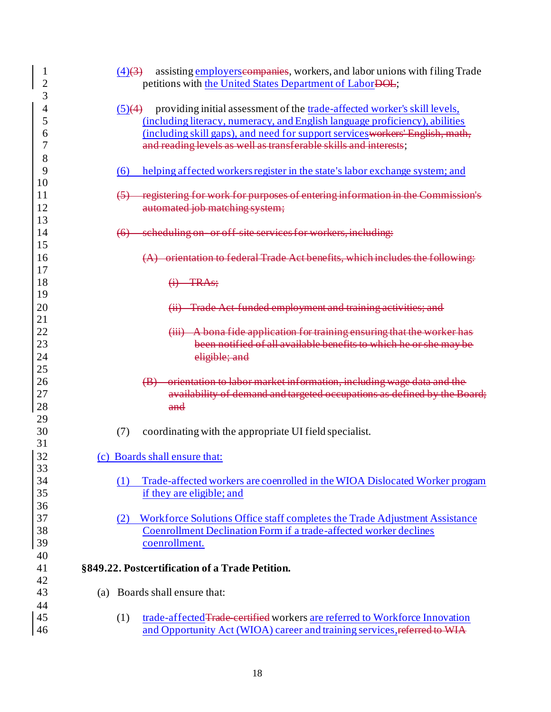| $\mathbf{1}$<br>$\overline{c}$ | assisting employers estimates, workers, and labor unions with filing Trade<br>$(4)$ $(3)$<br>petitions with the United States Department of LaborDOL; |
|--------------------------------|-------------------------------------------------------------------------------------------------------------------------------------------------------|
| 3                              |                                                                                                                                                       |
| 4                              | providing initial assessment of the trade-affected worker's skill levels,<br>(5)(4)                                                                   |
| 5                              | (including literacy, numeracy, and English language proficiency), abilities                                                                           |
| 6                              | (including skill gaps), and need for support services workers' English, math,                                                                         |
| 7                              | and reading levels as well as transferable skills and interests;                                                                                      |
| 8                              |                                                                                                                                                       |
| 9                              | helping affected workers register in the state's labor exchange system; and<br>(6)                                                                    |
| 10                             |                                                                                                                                                       |
| 11                             | registering for work for purposes of entering information in the Commission's                                                                         |
| 12                             | automated job matching system;                                                                                                                        |
| 13                             |                                                                                                                                                       |
| 14                             | scheduling on or off site services for workers, including:<br>$\leftrightarrow$                                                                       |
| 15                             |                                                                                                                                                       |
|                                |                                                                                                                                                       |
| 16<br>17                       | orientation to federal Trade Act benefits, which includes the following:                                                                              |
|                                |                                                                                                                                                       |
| 18                             | $(i)$ TRAs;                                                                                                                                           |
| 19                             |                                                                                                                                                       |
| 20                             | Trade Act funded employment and training activities; and                                                                                              |
| 21                             |                                                                                                                                                       |
| 22                             | (iii) A bona fide application for training ensuring that the worker has                                                                               |
| 23                             | been notified of all available benefits to which he or she may be                                                                                     |
| 24                             | eligible; and                                                                                                                                         |
| 25                             |                                                                                                                                                       |
| 26                             | orientation to labor market information, including wage data and the                                                                                  |
| 27                             | availability of demand and targeted occupations as defined by the Board;                                                                              |
| 28                             | and                                                                                                                                                   |
| 29                             |                                                                                                                                                       |
| 30                             | (7)<br>coordinating with the appropriate UI field specialist.                                                                                         |
| 31                             |                                                                                                                                                       |
| 32                             | (c) Boards shall ensure that:                                                                                                                         |
| 33                             |                                                                                                                                                       |
| 34                             | Trade-affected workers are coenrolled in the WIOA Dislocated Worker program<br>(1)                                                                    |
| 35                             | if they are eligible; and                                                                                                                             |
| 36                             |                                                                                                                                                       |
| 37                             | Workforce Solutions Office staff completes the Trade Adjustment Assistance<br>(2)                                                                     |
| 38                             | Coenrollment Declination Form if a trade-affected worker declines                                                                                     |
| 39                             | coenrollment.                                                                                                                                         |
| 40                             |                                                                                                                                                       |
| 41                             | §849.22. Postcertification of a Trade Petition.                                                                                                       |
| 42                             |                                                                                                                                                       |
| 43                             | Boards shall ensure that:<br>(a)                                                                                                                      |
| 44                             |                                                                                                                                                       |
| 45                             | trade-affected Trade certified workers are referred to Workforce Innovation<br>(1)                                                                    |
| 46                             | and Opportunity Act (WIOA) career and training services, referred to WIA                                                                              |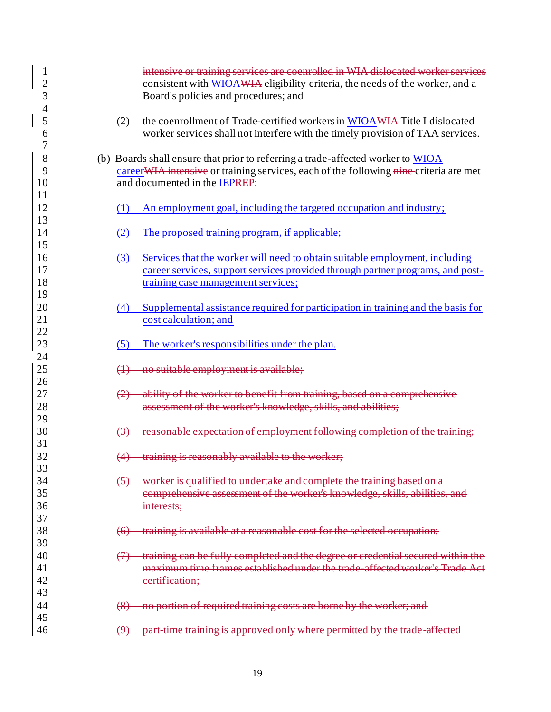| 1<br>$\overline{2}$<br>3 |                    | intensive or training services are coenrolled in WIA dislocated worker services<br>consistent with WIOAWIA eligibility criteria, the needs of the worker, and a<br>Board's policies and procedures; and    |
|--------------------------|--------------------|------------------------------------------------------------------------------------------------------------------------------------------------------------------------------------------------------------|
| 4<br>5<br>6              | (2)                | the coenrollment of Trade-certified workers in WIOAWIA Title I dislocated<br>worker services shall not interfere with the timely provision of TAA services.                                                |
| 8<br>9<br>10             |                    | (b) Boards shall ensure that prior to referring a trade-affected worker to WIOA<br>career WIA intensive or training services, each of the following nine-criteria are met<br>and documented in the IEPREP: |
| 11<br>12<br>13           | (1)                | An employment goal, including the targeted occupation and industry;                                                                                                                                        |
| 14<br>15                 | (2)                | The proposed training program, if applicable;                                                                                                                                                              |
| 16<br>17<br>18<br>19     | (3)                | Services that the worker will need to obtain suitable employment, including<br>career services, support services provided through partner programs, and post-<br>training case management services;        |
| 20<br>21<br>22           | (4)                | Supplemental assistance required for participation in training and the basis for<br>cost calculation; and                                                                                                  |
| 23                       | (5)                | The worker's responsibilities under the plan.                                                                                                                                                              |
| 24<br>25<br>26           |                    | no suitable employment is available;                                                                                                                                                                       |
| 27<br>28<br>29           |                    | ability of the worker to benefit from training, based on a comprehensive<br>assessment of the worker's knowledge, skills, and abilities;                                                                   |
| 30<br>31                 |                    | reasonable expectation of employment following completion of the training;                                                                                                                                 |
| 32<br>33                 |                    | training is reasonably available to the worker;                                                                                                                                                            |
| 34<br>35<br>36           |                    | worker is qualified to undertake and complete the training based on a<br>comprehensive assessment of the worker's knowledge, skills, abilities, and<br>interests;                                          |
| 37<br>38<br>39           | $\left( 6 \right)$ | training is available at a reasonable cost for the selected occupation;                                                                                                                                    |
| 40<br>41<br>42<br>43     |                    | training can be fully completed and the degree or credential secured within the<br>maximum time frames established under the trade affected worker's Trade<br>certification;                               |
| 44                       | $\left( 8 \right)$ | no portion of required training costs are borne by the worker; and                                                                                                                                         |
| 45<br>46                 |                    | time training is approved only where permitted by the trade affected                                                                                                                                       |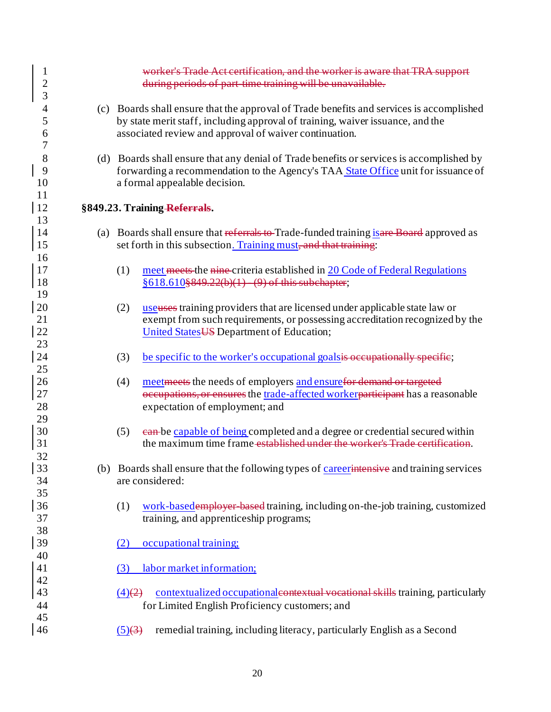| $\mathbf 1$<br>$\overline{c}$<br>3 |     | worker's Trade Act certification, and the worker is aware that TRA support<br>during periods of part time training will be unavailable.                                                                                              |
|------------------------------------|-----|--------------------------------------------------------------------------------------------------------------------------------------------------------------------------------------------------------------------------------------|
| $\overline{4}$<br>5<br>6<br>7      |     | (c) Boards shall ensure that the approval of Trade benefits and services is accomplished<br>by state merit staff, including approval of training, waiver issuance, and the<br>associated review and approval of waiver continuation. |
| 8<br>9<br>10<br>11                 |     | (d) Boards shall ensure that any denial of Trade benefits or services is accomplished by<br>forwarding a recommendation to the Agency's TAA State Office unit for issuance of<br>a formal appealable decision.                       |
| 12                                 |     | §849.23. Training Referrals.                                                                                                                                                                                                         |
| 13<br>14<br>15                     |     | (a) Boards shall ensure that referrals to Trade-funded training is are Board approved as<br>set forth in this subsection. Training must, and that training:                                                                          |
| 16<br>17<br><sup>18</sup>          |     | (1)<br>meet meets the nine criteria established in 20 Code of Federal Regulations<br>$§618.610$ §849.22(b)(1) (9) of this subchapter;                                                                                                |
| 19<br>20<br>21<br>22<br>23         |     | useuses training providers that are licensed under applicable state law or<br>(2)<br>exempt from such requirements, or possessing accreditation recognized by the<br>United States US Department of Education;                       |
| 24<br>25                           |     | (3)<br>be specific to the worker's occupational goals is occupationally specific;                                                                                                                                                    |
| 26<br>27<br>28<br>29               |     | (4)<br>meet meets the needs of employers and ensurefor demand or targeted<br>occupations, or ensures the trade-affected workerparticipant has a reasonable<br>expectation of employment; and                                         |
| 30<br>31                           |     | ean-be capable of being completed and a degree or credential secured within<br>(5)<br>the maximum time frame established under the worker's Trade certification.                                                                     |
| 32<br>33<br>34<br>35               | (b) | Boards shall ensure that the following types of careerintensive and training services<br>are considered:                                                                                                                             |
| 36<br>37<br>38                     |     | work-basedemployer based training, including on-the-job training, customized<br>(1)<br>training, and apprenticeship programs;                                                                                                        |
| 39<br>40                           |     | occupational training;<br>(2)                                                                                                                                                                                                        |
| 41                                 |     | labor market information;<br>(3)                                                                                                                                                                                                     |
| 42<br>43<br>44                     |     | contextualized occupational contextual vocational skills training, particularly<br>$\left(4\right)\left(2\right)$<br>for Limited English Proficiency customers; and                                                                  |
| 45<br>46                           |     | remedial training, including literacy, particularly English as a Second<br>$\overline{(5)}$ $\overline{(3)}$                                                                                                                         |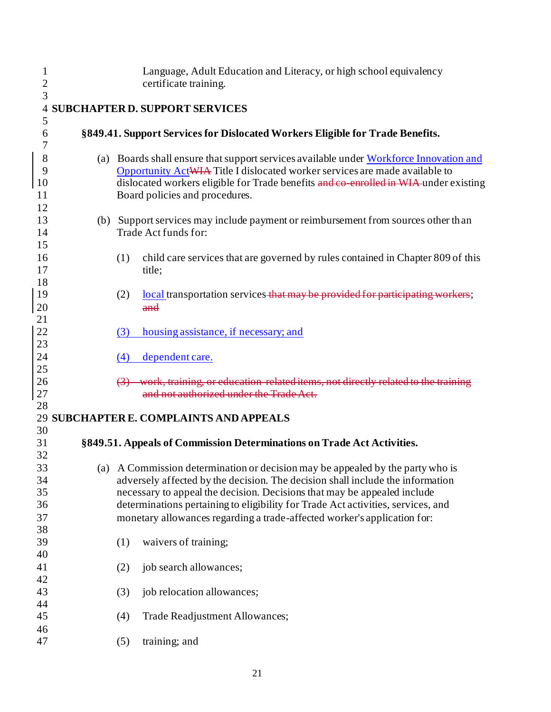| $\mathbf{1}$<br>$\overline{2}$ | Language, Adult Education and Literacy, or high school equivalency<br>certificate training.                                                                         |
|--------------------------------|---------------------------------------------------------------------------------------------------------------------------------------------------------------------|
| 3                              |                                                                                                                                                                     |
| $\overline{4}$                 | <b>SUBCHAPTER D. SUPPORT SERVICES</b>                                                                                                                               |
| 5                              |                                                                                                                                                                     |
| 6                              | §849.41. Support Services for Dislocated Workers Eligible for Trade Benefits.                                                                                       |
| 7                              |                                                                                                                                                                     |
| 8                              | (a) Boards shall ensure that support services available under Workforce Innovation and                                                                              |
| 9<br>10                        | Opportunity ActWIA Title I dislocated worker services are made available to<br>dislocated workers eligible for Trade benefits and co-enrolled in WIA-under existing |
| 11                             | Board policies and procedures.                                                                                                                                      |
| 12                             |                                                                                                                                                                     |
| 13                             | (b) Support services may include payment or reimbursement from sources other than                                                                                   |
| 14                             | Trade Act funds for:                                                                                                                                                |
| 15                             |                                                                                                                                                                     |
| 16                             | child care services that are governed by rules contained in Chapter 809 of this<br>(1)                                                                              |
| 17<br>18                       | title;                                                                                                                                                              |
| 19                             | local transportation services that may be provided for participating workers;<br>(2)                                                                                |
| 20                             | and                                                                                                                                                                 |
| 21                             |                                                                                                                                                                     |
| 22                             | housing assistance, if necessary; and<br>(3)                                                                                                                        |
| 23                             |                                                                                                                                                                     |
| 24                             | dependent care.<br>(4)                                                                                                                                              |
| 25                             | work, training, or education related items, not directly related to the training                                                                                    |
| 26<br>27                       | and not authorized under the Trade Act.                                                                                                                             |
| 28                             |                                                                                                                                                                     |
|                                | 29 SUBCHAPTER E. COMPLAINTS AND APPEALS                                                                                                                             |
| 30                             |                                                                                                                                                                     |
| 31                             | §849.51. Appeals of Commission Determinations on Trade Act Activities.                                                                                              |
| 32                             |                                                                                                                                                                     |
| 33<br>34                       | (a) A Commission determination or decision may be appealed by the party who is<br>adversely affected by the decision. The decision shall include the information    |
| 35                             | necessary to appeal the decision. Decisions that may be appealed include                                                                                            |
| 36                             | determinations pertaining to eligibility for Trade Act activities, services, and                                                                                    |
| 37                             | monetary allowances regarding a trade-affected worker's application for:                                                                                            |
| 38                             |                                                                                                                                                                     |
| 39                             | waivers of training;<br>(1)                                                                                                                                         |
| 40                             |                                                                                                                                                                     |
| 41<br>42                       | job search allowances;<br>(2)                                                                                                                                       |
| 43                             | job relocation allowances;<br>(3)                                                                                                                                   |
| 44                             |                                                                                                                                                                     |
| 45                             | Trade Readjustment Allowances;<br>(4)                                                                                                                               |
| 46                             |                                                                                                                                                                     |
| 47                             | (5)<br>training; and                                                                                                                                                |